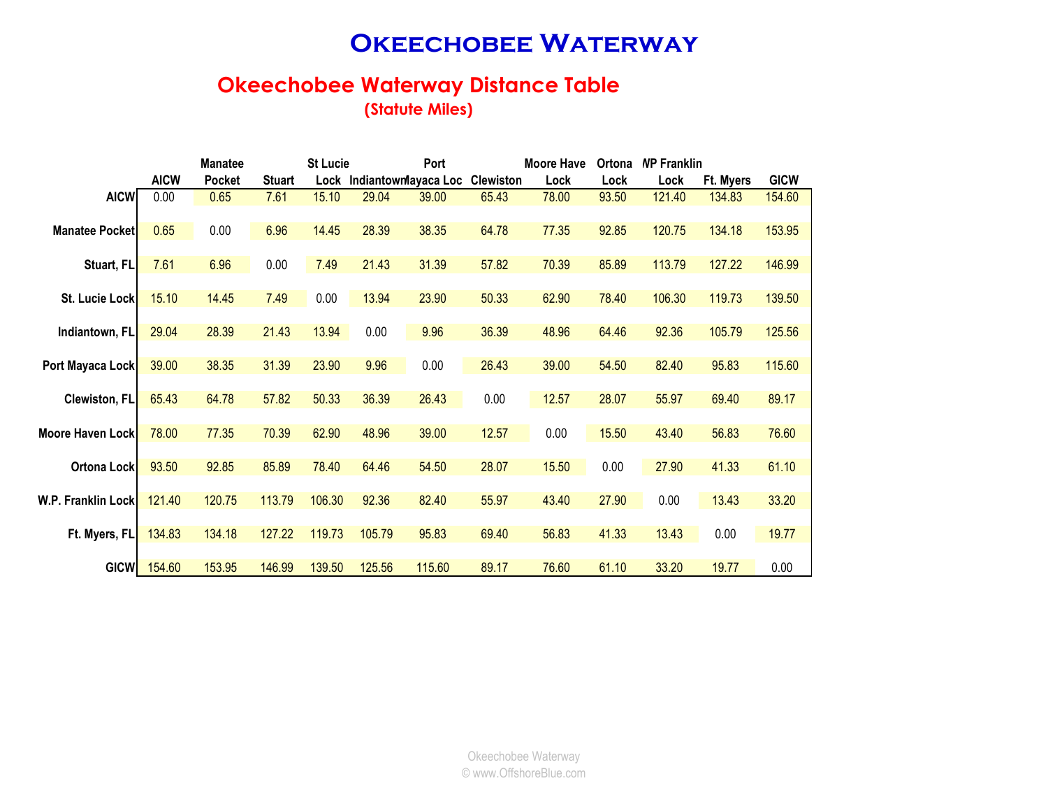### **OKEECHOBEE WATERWAY**

# **Okeechobee Waterway Distance Table**

**(Statute Miles)**

|                        |             | <b>Manatee</b> | <b>St Lucie</b> |        |                           | <b>Moore Have</b><br>Port |                  |       | Ortona | <b>NP Franklin</b> |           |             |
|------------------------|-------------|----------------|-----------------|--------|---------------------------|---------------------------|------------------|-------|--------|--------------------|-----------|-------------|
|                        | <b>AICW</b> | <b>Pocket</b>  | <b>Stuart</b>   |        | Lock Indiantownlayaca Loc |                           | <b>Clewiston</b> | Lock  | Lock   | Lock               | Ft. Myers | <b>GICW</b> |
| <b>AICW</b>            | 0.00        | 0.65           | 7.61            | 15.10  | 29.04                     | 39.00                     | 65.43            | 78.00 | 93.50  | 121.40             | 134.83    | 154.60      |
|                        |             |                |                 |        |                           |                           |                  |       |        |                    |           |             |
| <b>Manatee Pocketl</b> | 0.65        | 0.00           | 6.96            | 14.45  | 28.39                     | 38.35                     | 64.78            | 77.35 | 92.85  | 120.75             | 134.18    | 153.95      |
|                        |             |                |                 |        |                           |                           |                  |       |        |                    |           |             |
| Stuart, FL             | 7.61        | 6.96           | 0.00            | 7.49   | 21.43                     | 31.39                     | 57.82            | 70.39 | 85.89  | 113.79             | 127.22    | 146.99      |
|                        |             |                |                 |        |                           |                           |                  |       |        |                    |           |             |
| St. Lucie Lock         | 15.10       | 14.45          | 7.49            | 0.00   | 13.94                     | 23.90                     | 50.33            | 62.90 | 78.40  | 106.30             | 119.73    | 139.50      |
|                        |             |                |                 |        |                           |                           |                  |       |        |                    |           |             |
| Indiantown, FL         | 29.04       | 28.39          | 21.43           | 13.94  | 0.00                      | 9.96                      | 36.39            | 48.96 | 64.46  | 92.36              | 105.79    | 125.56      |
|                        |             |                |                 |        |                           |                           |                  |       |        |                    |           |             |
| Port Mayaca Lock       | 39.00       | 38.35          | 31.39           | 23.90  | 9.96                      | 0.00                      | 26.43            | 39.00 | 54.50  | 82.40              | 95.83     | 115.60      |
|                        |             |                |                 |        |                           |                           |                  |       |        |                    |           |             |
| Clewiston, FL          | 65.43       | 64.78          | 57.82           | 50.33  | 36.39                     | 26.43                     | 0.00             | 12.57 | 28.07  | 55.97              | 69.40     | 89.17       |
| Moore Haven Lock       | 78.00       | 77.35          | 70.39           | 62.90  | 48.96                     | 39.00                     | 12.57            | 0.00  | 15.50  | 43.40              | 56.83     | 76.60       |
|                        |             |                |                 |        |                           |                           |                  |       |        |                    |           |             |
| Ortona Lock            | 93.50       | 92.85          | 85.89           | 78.40  | 64.46                     | 54.50                     | 28.07            | 15.50 | 0.00   | 27.90              | 41.33     | 61.10       |
|                        |             |                |                 |        |                           |                           |                  |       |        |                    |           |             |
| W.P. Franklin Lock     | 121.40      | 120.75         | 113.79          | 106.30 | 92.36                     | 82.40                     | 55.97            | 43.40 | 27.90  | 0.00               | 13.43     | 33.20       |
|                        |             |                |                 |        |                           |                           |                  |       |        |                    |           |             |
| Ft. Myers, FL          | 134.83      | 134.18         | 127.22          | 119.73 | 105.79                    | 95.83                     | 69.40            | 56.83 | 41.33  | 13.43              | 0.00      | 19.77       |
|                        |             |                |                 |        |                           |                           |                  |       |        |                    |           |             |
| <b>GICW</b>            | 154.60      | 153.95         | 146.99          | 139.50 | 125.56                    | 115.60                    | 89.17            | 76.60 | 61.10  | 33.20              | 19.77     | 0.00        |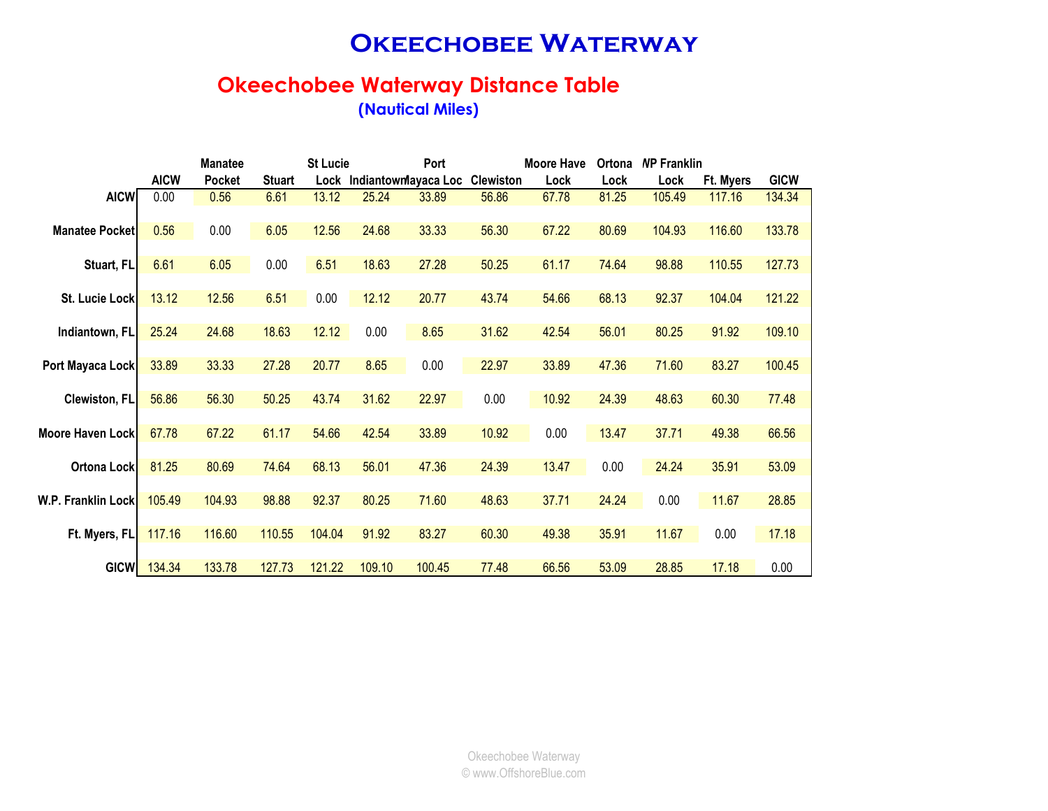### **OKEECHOBEE WATERWAY**

#### **Okeechobee Waterway Distance Table (Nautical Miles)**

|                         |             | <b>Manatee</b> |               | <b>St Lucie</b> |                           | Port   |                  | <b>Moore Have</b> | Ortona | <b>NP Franklin</b> |           |             |
|-------------------------|-------------|----------------|---------------|-----------------|---------------------------|--------|------------------|-------------------|--------|--------------------|-----------|-------------|
|                         | <b>AICW</b> | <b>Pocket</b>  | <b>Stuart</b> |                 | Lock Indiantownlayaca Loc |        | <b>Clewiston</b> | Lock              | Lock   | Lock               | Ft. Myers | <b>GICW</b> |
| <b>AICW</b>             | 0.00        | 0.56           | 6.61          | 13.12           | 25.24                     | 33.89  | 56.86            | 67.78             | 81.25  | 105.49             | 117.16    | 134.34      |
|                         |             |                |               |                 |                           |        |                  |                   |        |                    |           |             |
| <b>Manatee Pocketl</b>  | 0.56        | 0.00           | 6.05          | 12.56           | 24.68                     | 33.33  | 56.30            | 67.22             | 80.69  | 104.93             | 116.60    | 133.78      |
|                         |             |                |               |                 |                           |        |                  |                   |        |                    |           |             |
| Stuart, FL              | 6.61        | 6.05           | 0.00          | 6.51            | 18.63                     | 27.28  | 50.25            | 61.17             | 74.64  | 98.88              | 110.55    | 127.73      |
|                         |             |                |               |                 |                           |        |                  |                   |        |                    |           |             |
| St. Lucie Lock          | 13.12       | 12.56          | 6.51          | 0.00            | 12.12                     | 20.77  | 43.74            | 54.66             | 68.13  | 92.37              | 104.04    | 121.22      |
|                         |             |                |               |                 |                           |        |                  |                   |        |                    |           |             |
| Indiantown, FL          | 25.24       | 24.68          | 18.63         | 12.12           | 0.00                      | 8.65   | 31.62            | 42.54             | 56.01  | 80.25              | 91.92     | 109.10      |
|                         |             |                |               |                 |                           |        |                  |                   |        |                    |           |             |
| Port Mayaca Lock        | 33.89       | 33.33          | 27.28         | 20.77           | 8.65                      | 0.00   | 22.97            | 33.89             | 47.36  | 71.60              | 83.27     | 100.45      |
|                         |             |                |               |                 |                           |        |                  |                   |        |                    |           |             |
| Clewiston, FL           | 56.86       | 56.30          | 50.25         | 43.74           | 31.62                     | 22.97  | 0.00             | 10.92             | 24.39  | 48.63              | 60.30     | 77.48       |
|                         |             |                |               |                 |                           |        |                  |                   |        |                    |           |             |
| <b>Moore Haven Lock</b> | 67.78       | 67.22          | 61.17         | 54.66           | 42.54                     | 33.89  | 10.92            | 0.00              | 13.47  | 37.71              | 49.38     | 66.56       |
| Ortona Lock             | 81.25       | 80.69          | 74.64         | 68.13           | 56.01                     | 47.36  | 24.39            | 13.47             | 0.00   | 24.24              | 35.91     | 53.09       |
|                         |             |                |               |                 |                           |        |                  |                   |        |                    |           |             |
| W.P. Franklin Lock      | 105.49      | 104.93         | 98.88         | 92.37           | 80.25                     | 71.60  | 48.63            | 37.71             | 24.24  | 0.00               | 11.67     | 28.85       |
|                         |             |                |               |                 |                           |        |                  |                   |        |                    |           |             |
| Ft. Myers, FL           | 117.16      | 116.60         | 110.55        | 104.04          | 91.92                     | 83.27  | 60.30            | 49.38             | 35.91  | 11.67              | 0.00      | 17.18       |
|                         |             |                |               |                 |                           |        |                  |                   |        |                    |           |             |
| <b>GICW</b>             | 134.34      | 133.78         | 127.73        | 121.22          | 109.10                    | 100.45 | 77.48            | 66.56             | 53.09  | 28.85              | 17.18     | 0.00        |
|                         |             |                |               |                 |                           |        |                  |                   |        |                    |           |             |